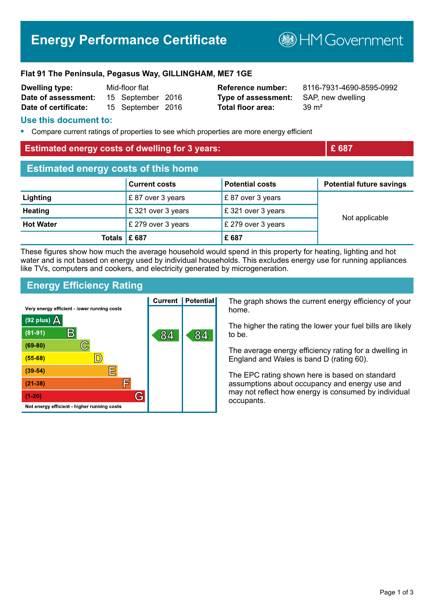# **Energy Performance Certificate**

**B**HM Government

#### **Flat 91 The Peninsula, Pegasus Way, GILLINGHAM, ME7 1GE**

| <b>Dwelling type:</b> | Mid-floor flat |                   |  |
|-----------------------|----------------|-------------------|--|
| Date of assessment:   |                | 15 September 2016 |  |
| Date of certificate:  |                | 15 September 2016 |  |

**Type of assessment:** SAP, new dwelling **Total floor area:** 39 m<sup>2</sup>

**Reference number:** 8116-7931-4690-8595-0992

#### **Use this document to:**

**•** Compare current ratings of properties to see which properties are more energy efficient

#### **Estimated energy costs of dwelling for 3 years: Extinct the Landsler** of **E** 687

| <b>Estimated energy costs of this home</b> |                      |                         |                                 |  |
|--------------------------------------------|----------------------|-------------------------|---------------------------------|--|
|                                            | <b>Current costs</b> | <b>Potential costs</b>  | <b>Potential future savings</b> |  |
| Lighting                                   | $E$ 87 over 3 years  | £87 over 3 years        |                                 |  |
| <b>Heating</b>                             | £ 321 over 3 years   | $\,$ £ 321 over 3 years |                                 |  |
| <b>Hot Water</b>                           | £ 279 over 3 years   | £ 279 over 3 years      | Not applicable                  |  |
| Totals $\mathsf E$ 687                     |                      | £687                    |                                 |  |

These figures show how much the average household would spend in this property for heating, lighting and hot water and is not based on energy used by individual households. This excludes energy use for running appliances like TVs, computers and cookers, and electricity generated by microgeneration.

# **Energy Efficiency Rating**

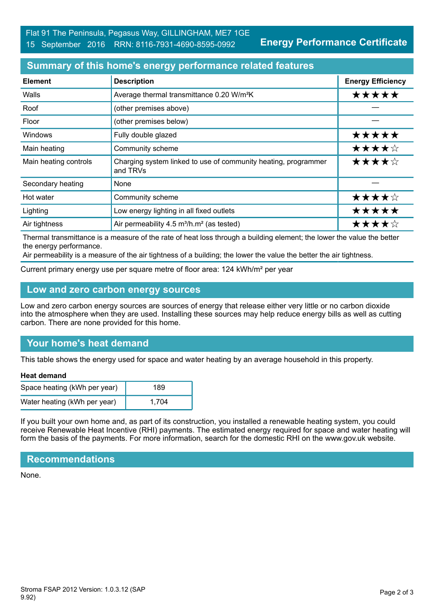# **Summary of this home's energy performance related features**

| <b>Element</b>        | <b>Description</b>                                                         | <b>Energy Efficiency</b> |
|-----------------------|----------------------------------------------------------------------------|--------------------------|
| Walls                 | Average thermal transmittance 0.20 W/m <sup>2</sup> K                      | *****                    |
| Roof                  | (other premises above)                                                     |                          |
| Floor                 | (other premises below)                                                     |                          |
| <b>Windows</b>        | Fully double glazed                                                        | *****                    |
| Main heating          | Community scheme                                                           | ★★★★☆                    |
| Main heating controls | Charging system linked to use of community heating, programmer<br>and TRVs | ★★★★☆                    |
| Secondary heating     | None                                                                       |                          |
| Hot water             | Community scheme                                                           | ★★★★☆                    |
| Lighting              | Low energy lighting in all fixed outlets                                   | *****                    |
| Air tightness         | Air permeability 4.5 m <sup>3</sup> /h.m <sup>2</sup> (as tested)          | ★★★★☆                    |

Thermal transmittance is a measure of the rate of heat loss through a building element; the lower the value the better the energy performance.

Air permeability is a measure of the air tightness of a building; the lower the value the better the air tightness.

Current primary energy use per square metre of floor area: 124 kWh/m² per year

### **Low and zero carbon energy sources**

Low and zero carbon energy sources are sources of energy that release either very little or no carbon dioxide into the atmosphere when they are used. Installing these sources may help reduce energy bills as well as cutting carbon. There are none provided for this home.

# **Your home's heat demand**

This table shows the energy used for space and water heating by an average household in this property.

#### **Heat demand**

| Space heating (kWh per year) | 189   |
|------------------------------|-------|
| Water heating (kWh per year) | 1.704 |

If you built your own home and, as part of its construction, you installed a renewable heating system, you could receive Renewable Heat Incentive (RHI) payments. The estimated energy required for space and water heating will form the basis of the payments. For more information, search for the domestic RHI on the www.gov.uk website.

#### **Recommendations**

None.